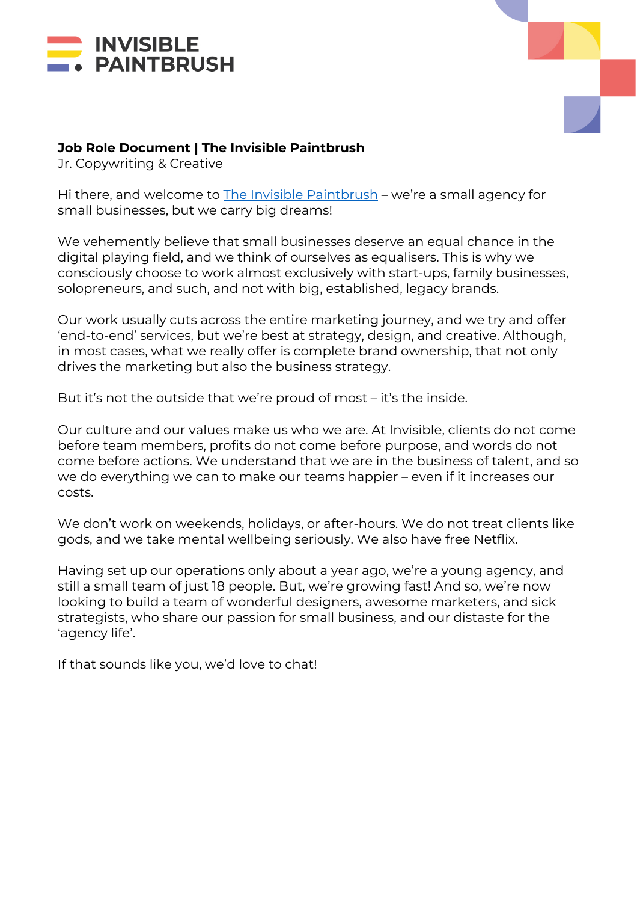



## **Job Role Document | The Invisible Paintbrush**

Jr. Copywriting & Creative

Hi there, and welcome to The Invisible Paintbrush – we're a small agency for small businesses, but we carry big dreams!

We vehemently believe that small businesses deserve an equal chance in the digital playing field, and we think of ourselves as equalisers. This is why we consciously choose to work almost exclusively with start-ups, family businesses, solopreneurs, and such, and not with big, established, legacy brands.

Our work usually cuts across the entire marketing journey, and we try and offer 'end-to-end' services, but we're best at strategy, design, and creative. Although, in most cases, what we really offer is complete brand ownership, that not only drives the marketing but also the business strategy.

But it's not the outside that we're proud of most – it's the inside.

Our culture and our values make us who we are. At Invisible, clients do not come before team members, profits do not come before purpose, and words do not come before actions. We understand that we are in the business of talent, and so we do everything we can to make our teams happier – even if it increases our costs.

We don't work on weekends, holidays, or after-hours. We do not treat clients like gods, and we take mental wellbeing seriously. We also have free Netflix.

Having set up our operations only about a year ago, we're a young agency, and still a small team of just 18 people. But, we're growing fast! And so, we're now looking to build a team of wonderful designers, awesome marketers, and sick strategists, who share our passion for small business, and our distaste for the 'agency life'.

If that sounds like you, we'd love to chat!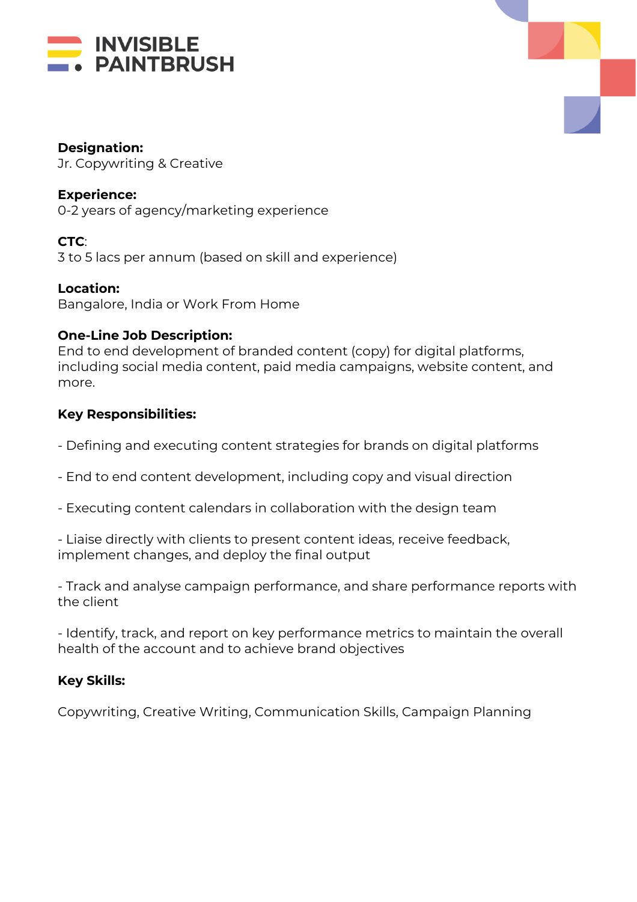



#### **Designation:**

Jr. Copywriting & Creative

#### **Experience:**

0-2 years of agency/marketing experience

## **CTC**:

3 to 5 lacs per annum (based on skill and experience)

**Location:** Bangalore, India or Work From Home

## **One-Line Job Description:**

End to end development of branded content (copy) for digital platforms, including social media content, paid media campaigns, website content, and more.

## **Key Responsibilities:**

- Defining and executing content strategies for brands on digital platforms
- End to end content development, including copy and visual direction
- Executing content calendars in collaboration with the design team

- Liaise directly with clients to present content ideas, receive feedback, implement changes, and deploy the final output

- Track and analyse campaign performance, and share performance reports with the client

- Identify, track, and report on key performance metrics to maintain the overall health of the account and to achieve brand objectives

# **Key Skills:**

Copywriting, Creative Writing, Communication Skills, Campaign Planning